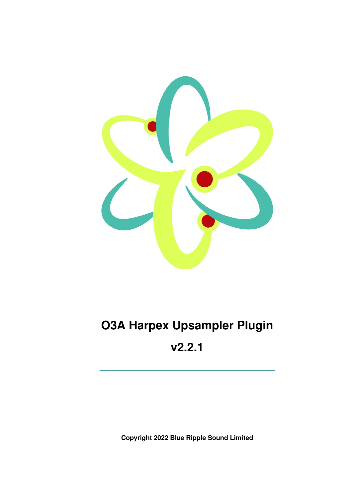

# **O3A Harpex Upsampler Plugin v2.2.1**

**Copyright 2022 Blue Ripple Sound Limited**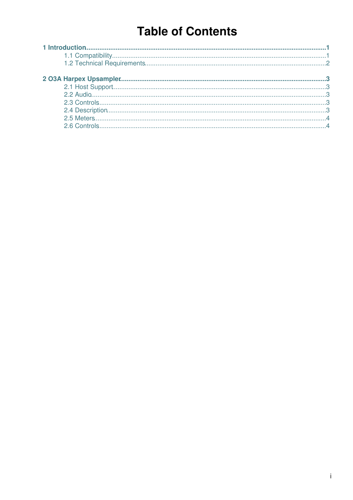## **Table of Contents**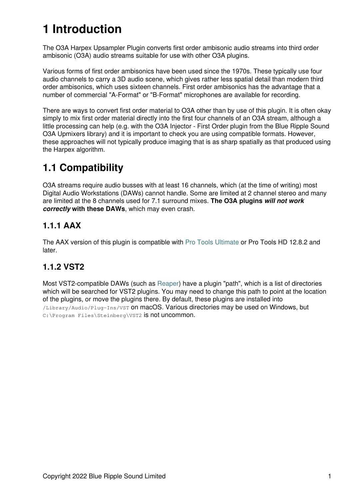## **1 Introduction**

The O3A Harpex Upsampler Plugin converts first order ambisonic audio streams into third order ambisonic (O3A) audio streams suitable for use with other O3A plugins.

Various forms of first order ambisonics have been used since the 1970s. These typically use four audio channels to carry a 3D audio scene, which gives rather less spatial detail than modern third order ambisonics, which uses sixteen channels. First order ambisonics has the advantage that a number of commercial "A-Format" or "B-Format" microphones are available for recording.

There are ways to convert first order material to O3A other than by use of this plugin. It is often okay simply to mix first order material directly into the first four channels of an O3A stream, although a little processing can help (e.g. with the O3A Injector - First Order plugin from the Blue Ripple Sound O3A Upmixers library) and it is important to check you are using compatible formats. However, these approaches will not typically produce imaging that is as sharp spatially as that produced using the Harpex algorithm.

### <span id="page-2-0"></span>**1.1 Compatibility**

O3A streams require audio busses with at least 16 channels, which (at the time of writing) most Digital Audio Workstations (DAWs) cannot handle. Some are limited at 2 channel stereo and many are limited at the 8 channels used for 7.1 surround mixes. **The O3A plugins** *will not work correctly* **with these DAWs**, which may even crash.

#### **1.1.1 AAX**

The AAX version of this plugin is compatible with [Pro Tools Ultimate](https://www.avid.com/pro-tools) or Pro Tools HD 12.8.2 and later.

#### **1.1.2 VST2**

Most VST2-compatible DAWs (such as [Reaper](https://www.reaper.fm)) have a plugin "path", which is a list of directories which will be searched for VST2 plugins. You may need to change this path to point at the location of the plugins, or move the plugins there. By default, these plugins are installed into /Library/Audio/Plug-Ins/VST on macOS. Various directories may be used on Windows, but C:\Program Files\Steinberg\VST2 is not uncommon.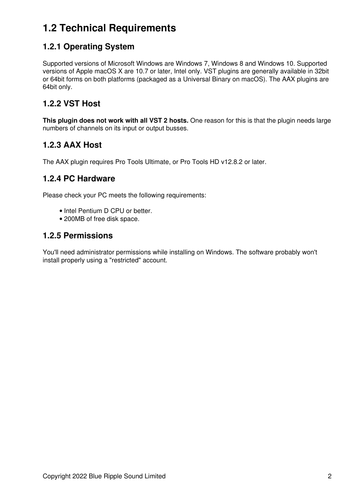### <span id="page-3-0"></span>**1.2 Technical Requirements**

#### **1.2.1 Operating System**

Supported versions of Microsoft Windows are Windows 7, Windows 8 and Windows 10. Supported versions of Apple macOS X are 10.7 or later, Intel only. VST plugins are generally available in 32bit or 64bit forms on both platforms (packaged as a Universal Binary on macOS). The AAX plugins are 64bit only.

#### **1.2.2 VST Host**

**This plugin does not work with all VST 2 hosts.** One reason for this is that the plugin needs large numbers of channels on its input or output busses.

#### **1.2.3 AAX Host**

The AAX plugin requires Pro Tools Ultimate, or Pro Tools HD v12.8.2 or later.

#### **1.2.4 PC Hardware**

Please check your PC meets the following requirements:

- Intel Pentium D CPU or better.
- 200MB of free disk space.

#### **1.2.5 Permissions**

You'll need administrator permissions while installing on Windows. The software probably won't install properly using a "restricted" account.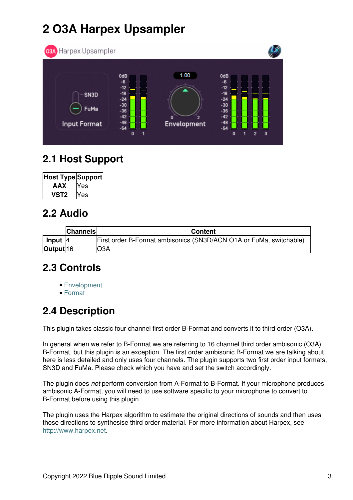## **2 O3A Harpex Upsampler**

<span id="page-4-0"></span>

### <span id="page-4-1"></span>**2.1 Host Support**

| Host Type Support |     |
|-------------------|-----|
| AAX               | Yes |
| vst2              | Yes |

### <span id="page-4-2"></span>**2.2 Audio**

|           | <b>Channels</b> | <b>Content</b>                                                     |
|-----------|-----------------|--------------------------------------------------------------------|
| Input     | 14              | First order B-Format ambisonics (SN3D/ACN O1A or FuMa, switchable) |
| Output 16 |                 | O3A                                                                |

### <span id="page-4-3"></span>**2.3 Controls**

- [Envelopment](#page-5-2)
- [Format](#page-5-3)

### <span id="page-4-4"></span>**2.4 Description**

This plugin takes classic four channel first order B-Format and converts it to third order (O3A).

In general when we refer to B-Format we are referring to 16 channel third order ambisonic (O3A) B-Format, but this plugin is an exception. The first order ambisonic B-Format we are talking about here is less detailed and only uses four channels. The plugin supports two first order input formats, SN3D and FuMa. Please check which you have and set the switch accordingly.

The plugin does *not* perform conversion from A-Format to B-Format. If your microphone produces ambisonic A-Format, you will need to use software specific to your microphone to convert to B-Format before using this plugin.

The plugin uses the Harpex algorithm to estimate the original directions of sounds and then uses those directions to synthesise third order material. For more information about Harpex, see <http://www.harpex.net>.